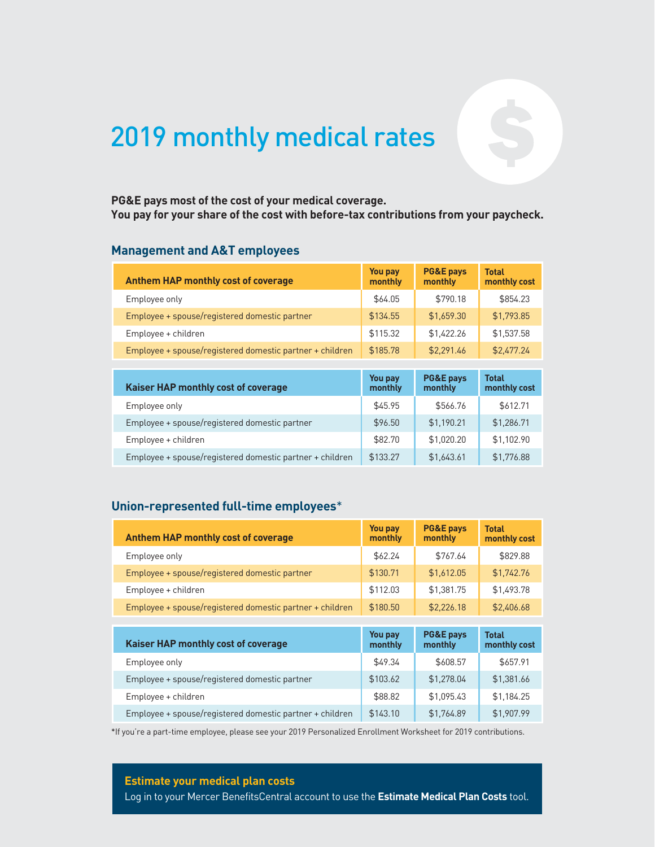# 2019 monthly medical rates

## **You pay for your share of the cost with before-tax contributions from your paycheck.**

#### **Management and A&T employees**

| PG&E pays most of the cost of your medical coverage.<br>You pay for your share of the cost with before-tax contributions from your paycheck.<br><b>Management and A&amp;T employees</b> |                    |                                 |                              |
|-----------------------------------------------------------------------------------------------------------------------------------------------------------------------------------------|--------------------|---------------------------------|------------------------------|
| <b>Anthem HAP monthly cost of coverage</b>                                                                                                                                              | You pay<br>monthly | <b>PG&amp;E pays</b><br>monthly | <b>Total</b><br>monthly cost |
| Employee only                                                                                                                                                                           | \$64.05            | \$790.18                        | \$854.23                     |
| Employee + spouse/registered domestic partner                                                                                                                                           | \$134.55           | \$1,659.30                      | \$1.793.85                   |
| Employee + children                                                                                                                                                                     | \$115.32           | \$1,422.26                      | \$1,537.58                   |
| Employee + spouse/registered domestic partner + children                                                                                                                                | \$185.78           | \$2,291.46                      | \$2,477.24                   |
|                                                                                                                                                                                         |                    |                                 |                              |
| Kaiser HAP monthly cost of coverage                                                                                                                                                     | You pay<br>monthly | <b>PG&amp;E pays</b><br>monthly | <b>Total</b><br>monthly cost |
| Employee only                                                                                                                                                                           | \$45.95            | \$566.76                        | \$612.71                     |
| Employee + spouse/registered domestic partner                                                                                                                                           | \$96.50            | \$1,190.21                      | \$1,286.71                   |
| Employee + children                                                                                                                                                                     | \$82.70            | \$1,020.20                      | \$1,102.90                   |
| Employee + spouse/registered domestic partner + children                                                                                                                                | \$133.27           | \$1,643.61                      | \$1,776.88                   |

| <b>Kaiser HAP monthly cost of coverage</b>               | You pay<br>monthly | <b>PG&amp;E pays</b><br>monthly | <b>Total</b><br>monthly cost |
|----------------------------------------------------------|--------------------|---------------------------------|------------------------------|
| Employee only                                            | \$45.95            | \$566.76                        | \$612.71                     |
| Employee + spouse/registered domestic partner            | \$96.50            | \$1,190.21                      | \$1,286.71                   |
| Employee + children                                      | \$82.70            | \$1,020.20                      | \$1,102.90                   |
| Employee + spouse/registered domestic partner + children | \$133.27           | \$1,643.61                      | \$1,776.88                   |

| Union-represented full-time employees*                   |                           |                                 |                              |
|----------------------------------------------------------|---------------------------|---------------------------------|------------------------------|
| <b>Anthem HAP monthly cost of coverage</b>               | <b>You pay</b><br>monthly | <b>PG&amp;E pays</b><br>monthly | <b>Total</b><br>monthly cost |
| Employee only                                            | \$62.24                   | \$767.64                        | \$829.88                     |
| Employee + spouse/registered domestic partner            | \$130.71                  | \$1,612.05                      | \$1,742.76                   |
| Employee + children                                      | \$112.03                  | \$1.381.75                      | \$1.493.78                   |
| Employee + spouse/registered domestic partner + children | \$180.50                  | \$2,226.18                      | \$2,406.68                   |
|                                                          |                           |                                 |                              |
| Kaiser HAP monthly cost of coverage                      | <b>You pay</b><br>monthly | <b>PG&amp;E pays</b><br>monthly | <b>Total</b><br>monthly cost |
| Employee only                                            | \$49.34                   | \$608.57                        | \$657.91                     |
| Employee + spouse/registered domestic partner            | \$103.62                  | \$1.278.04                      | \$1.381.66                   |
| Employee + children                                      | \$88.82                   | \$1,095.43                      | \$1,184.25                   |
| Employee + spouse/registered domestic partner + children | \$143.10                  | \$1,764.89                      | \$1,907.99                   |

\*If you're a part-time employee, please see your 2019 Personalized Enrollment Worksheet for 2019 contributions.

**Estimate your medical plan costs**

Log in to your Mercer BenefitsCentral account to use the **Estimate Medical Plan Costs** tool.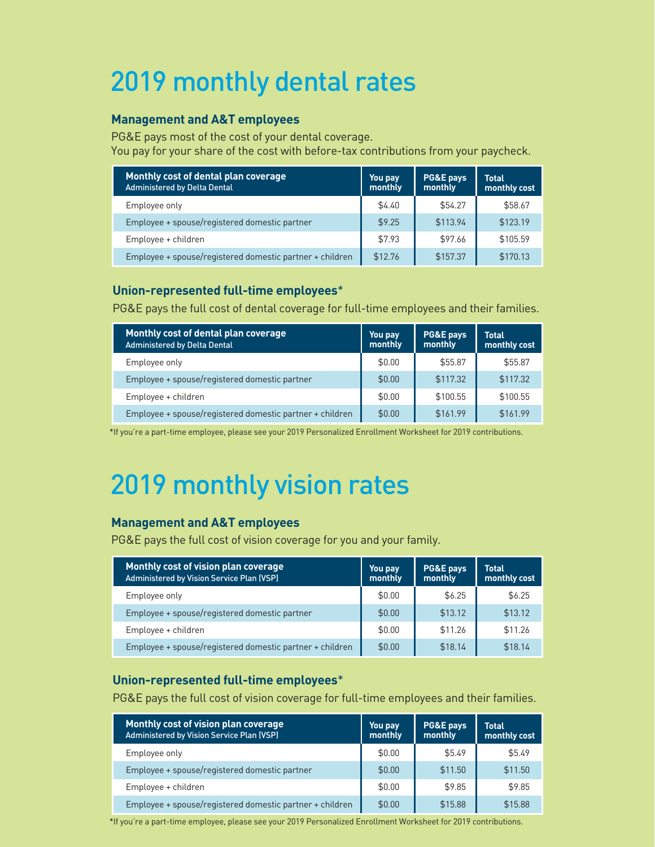# 2019 monthly dental rates

#### **Management and A&T employees**

PG&E pays most of the cost of your dental coverage. You pay for your share of the cost with before-tax contributions from your paycheck.

| Monthly cost of dental plan coverage<br><b>Administered by Delta Dental</b> | You pay<br>monthly | PG&E pays<br>monthly | <b>Total</b><br>monthly cost |
|-----------------------------------------------------------------------------|--------------------|----------------------|------------------------------|
| Employee only                                                               | \$4.40             | \$54.27              | \$58.67                      |
| Employee + spouse/registered domestic partner                               | \$9.25             | \$113.94             | \$123.19                     |
| Employee + children                                                         | \$7.93             | \$97.66              | \$105.59                     |
| Employee + spouse/registered domestic partner + children                    | \$12.76            | \$157.37             | \$170.13                     |

#### **Union-represented full-time employees**\*

PG&E pays the full cost of dental coverage for full-time employees and their families.

| Monthly cost of dental plan coverage<br>Administered by Delta Dental | You pay<br>monthly | <b>PG&amp;E pays</b><br>monthly | <b>Total</b><br>monthly cost |
|----------------------------------------------------------------------|--------------------|---------------------------------|------------------------------|
| Employee only                                                        | \$0.00             | \$55.87                         | \$55.87                      |
| Employee + spouse/registered domestic partner                        | \$0.00             | \$117.32                        | \$117.32                     |
| Employee + children                                                  | \$0.00             | \$100.55                        | \$100.55                     |
| Employee + spouse/registered domestic partner + children             | \$0.00             | \$161.99                        | \$161.99                     |

\*If you're a part-time employee, please see your 2019 Personalized Enrollment Worksheet for 2019 contributions.

# 2019 monthly vision rates

#### **Management and A&T employees**

PG&E pays the full cost of vision coverage for you and your family.

| Monthly cost of vision plan coverage<br><b>Administered by Vision Service Plan (VSP)</b> | You pay<br>monthly | <b>PG&amp;E pays</b><br>monthly | <b>Total</b><br>monthly cost |
|------------------------------------------------------------------------------------------|--------------------|---------------------------------|------------------------------|
| Employee only                                                                            | \$0.00             | \$6.25                          | \$6.25                       |
| Employee + spouse/registered domestic partner                                            | \$0.00             | \$13.12                         | \$13.12                      |
| Employee + children                                                                      | \$0.00             | \$11.26                         | \$11.26                      |
| Employee + spouse/registered domestic partner + children                                 | \$0.00             | \$18.14                         | \$18.14                      |

#### **Union-represented full-time employees**\*

PG&E pays the full cost of vision coverage for full-time employees and their families.

| Monthly cost of vision plan coverage<br><b>Administered by Vision Service Plan (VSP)</b> | You pay<br>monthly | PG&E pays<br>monthly | <b>Total</b><br>monthly cost |
|------------------------------------------------------------------------------------------|--------------------|----------------------|------------------------------|
| Employee only                                                                            | \$0.00             | \$5.49               | \$5.49                       |
| Employee + spouse/registered domestic partner                                            | \$0.00             | \$11.50              | \$11.50                      |
| Employee + children                                                                      | \$0.00             | \$9.85               | \$9.85                       |
| Employee + spouse/registered domestic partner + children                                 | \$0.00             | \$15.88              | \$15.88                      |

\*If you're a part-time employee, please see your 2019 Personalized Enrollment Worksheet for 2019 contributions.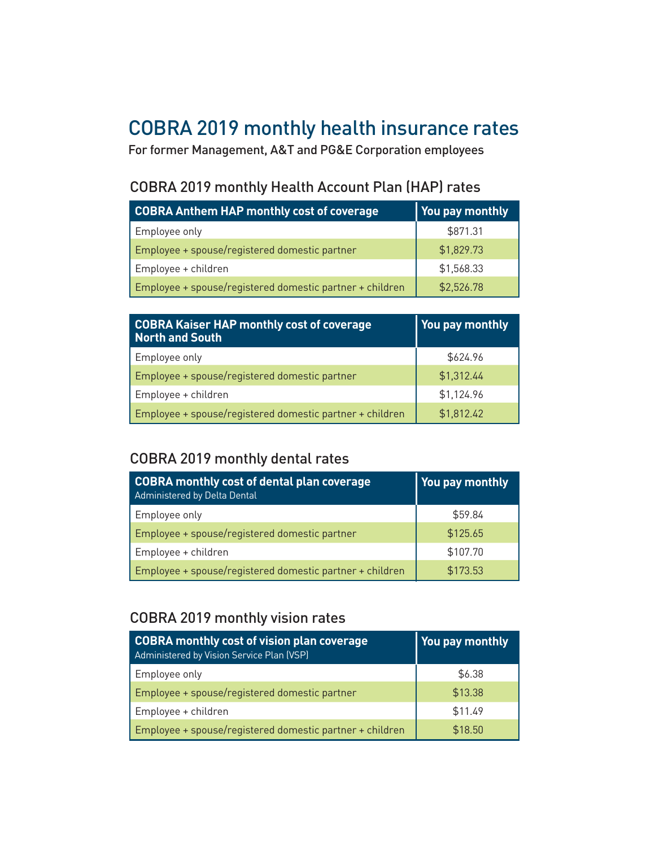### COBRA 2019 monthly health insurance rates

For former Management, A&T and PG&E Corporation employees

#### COBRA 2019 monthly Health Account Plan (HAP) rates

| COBRA Anthem HAP monthly cost of coverage                | You pay monthly |
|----------------------------------------------------------|-----------------|
| Employee only                                            | \$871.31        |
| Employee + spouse/registered domestic partner            | \$1,829.73      |
| Employee + children                                      | \$1,568.33      |
| Employee + spouse/registered domestic partner + children | \$2,526.78      |

| <b>COBRA Kaiser HAP monthly cost of coverage</b><br>North and South | You pay monthly |
|---------------------------------------------------------------------|-----------------|
| Employee only                                                       | \$624.96        |
| Employee + spouse/registered domestic partner                       | \$1,312.44      |
| Employee + children                                                 | \$1,124.96      |
| Employee + spouse/registered domestic partner + children            | \$1,812.42      |

#### COBRA 2019 monthly dental rates

| COBRA monthly cost of dental plan coverage<br>Administered by Delta Dental | You pay monthly |
|----------------------------------------------------------------------------|-----------------|
| Employee only                                                              | \$59.84         |
| Employee + spouse/registered domestic partner                              | \$125.65        |
| Employee + children                                                        | \$107.70        |
| Employee + spouse/registered domestic partner + children                   | \$173.53        |

#### COBRA 2019 monthly vision rates

| COBRA monthly cost of vision plan coverage<br>Administered by Vision Service Plan (VSP) | You pay monthly |
|-----------------------------------------------------------------------------------------|-----------------|
| Employee only                                                                           | \$6.38          |
| Employee + spouse/registered domestic partner                                           | \$13.38         |
| Employee + children                                                                     | \$11.49         |
| Employee + spouse/registered domestic partner + children                                | \$18.50         |